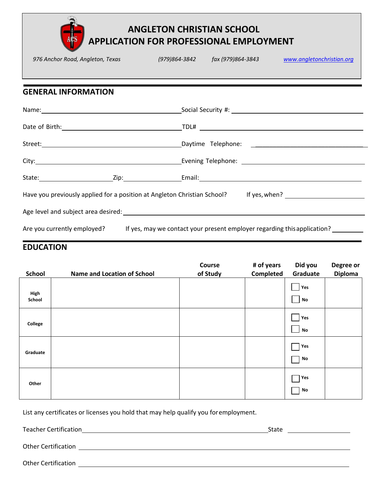

# **ANGLETON CHRISTIAN SCHOOL APPLICATION FOR PROFESSIONAL EMPLOYMENT**

|                            |  | 976 Anchor Road, Angleton, Texas (979)864-3842 fax (979)864-3843 www.angletonchristian.org                     |
|----------------------------|--|----------------------------------------------------------------------------------------------------------------|
|                            |  |                                                                                                                |
| <b>GENERAL INFORMATION</b> |  |                                                                                                                |
|                            |  |                                                                                                                |
|                            |  |                                                                                                                |
|                            |  |                                                                                                                |
|                            |  |                                                                                                                |
|                            |  |                                                                                                                |
|                            |  | Have you previously applied for a position at Angleton Christian School? If yes, when? [169] [169] Have Mannes |
|                            |  |                                                                                                                |
|                            |  | Are you currently employed? If yes, may we contact your present employer regarding this application? ________  |

#### **EDUCATION**

| <b>School</b>  | <b>Name and Location of School</b> | Course<br>of Study | # of years<br><b>Completed</b> | Did you<br>Graduate                             | Degree or<br><b>Diploma</b> |
|----------------|------------------------------------|--------------------|--------------------------------|-------------------------------------------------|-----------------------------|
| High<br>School |                                    |                    |                                | Yes<br>$\Box$ No                                |                             |
| College        |                                    |                    |                                | Yes<br>N <sub>o</sub>                           |                             |
| Graduate       |                                    |                    |                                | $\mathsf{T}$ Yes<br>$\overline{\phantom{a}}$ No |                             |
| Other          |                                    |                    |                                | $\Box$ Yes<br>N <sub>o</sub>                    |                             |

List any certificates or licenses you hold that may help qualify you for employment.

Teacher Certification State

Other Certification <u>example and the contract of the contract of the contract of the contract of the contract of the contract of the contract of the contract of the contract of the contract of the contract of the contract </u>

Other Certification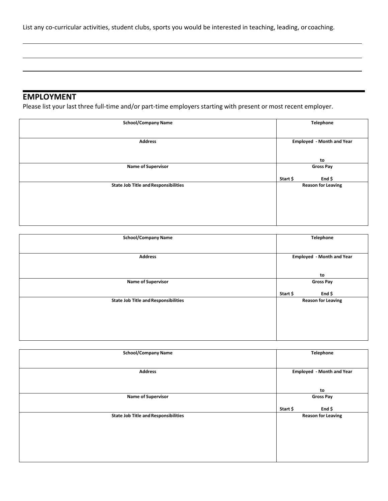List any co-curricular activities, student clubs, sports you would be interested in teaching, leading, or coaching.

## **EMPLOYMENT**

Please list your last three full-time and/or part-time employers starting with present or most recent employer.

| <b>School/Company Name</b>                  | <b>Telephone</b>                 |
|---------------------------------------------|----------------------------------|
| <b>Address</b>                              | <b>Employed - Month and Year</b> |
|                                             | to                               |
| <b>Name of Supervisor</b>                   | <b>Gross Pay</b>                 |
|                                             | Start \$<br>End $$$              |
| <b>State Job Title and Responsibilities</b> | <b>Reason for Leaving</b>        |
|                                             |                                  |
|                                             |                                  |

| <b>School/Company Name</b>                  | <b>Telephone</b>                                 |
|---------------------------------------------|--------------------------------------------------|
| <b>Address</b>                              | <b>Employed - Month and Year</b>                 |
| <b>Name of Supervisor</b>                   | to<br><b>Gross Pay</b>                           |
| <b>State Job Title and Responsibilities</b> | Start \$<br>End $$$<br><b>Reason for Leaving</b> |
|                                             |                                                  |
|                                             |                                                  |
|                                             |                                                  |

| <b>School/Company Name</b>                  | <b>Telephone</b>                 |
|---------------------------------------------|----------------------------------|
| <b>Address</b>                              | <b>Employed - Month and Year</b> |
|                                             |                                  |
|                                             | to                               |
| <b>Name of Supervisor</b>                   | <b>Gross Pay</b>                 |
|                                             | End $$$<br>Start \$              |
| <b>State Job Title and Responsibilities</b> | <b>Reason for Leaving</b>        |
|                                             |                                  |
|                                             |                                  |
|                                             |                                  |
|                                             |                                  |
|                                             |                                  |
|                                             |                                  |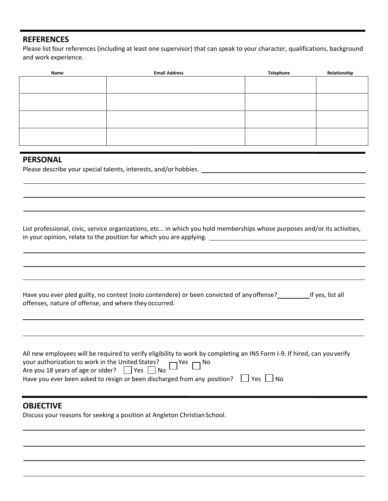#### **REFERENCES**

Please list four references (including at least one supervisor) that can speak to your character, qualifications, background and work experience.

| <b>Email Address</b> | <b>Telephone</b> | Relationship |
|----------------------|------------------|--------------|
|                      |                  |              |
|                      |                  |              |
|                      |                  |              |
|                      |                  |              |
|                      |                  |              |
|                      |                  |              |
|                      |                  |              |
|                      |                  |              |
|                      |                  |              |

#### **PERSONAL**

Please describe your special talents, interests, and/or hobbies.

List professional, civic, service organizations, etc… in which you hold memberships whose purposes and/or its activities, in your opinion, relate to the position for which you are applying.

Have you ever pled guilty, no contest (nolo contendere) or been convicted of any offense? If yes, list all offenses, nature of offense, and where they occurred.

| All new employees will be required to verify eligibility to work by completing an INS Form I-9. If hired, can you verify |
|--------------------------------------------------------------------------------------------------------------------------|
| your authorization to work in the United States?<br>Are you 18 years of age or older? $\Box$ Yes $\Box$ No               |
|                                                                                                                          |
| Have you ever been asked to resign or been discharged from any position? $\Box$ Yes $\Box$ No                            |
|                                                                                                                          |

### **OBJECTIVE**

Discuss your reasons for seeking a position at Angleton Christian School.